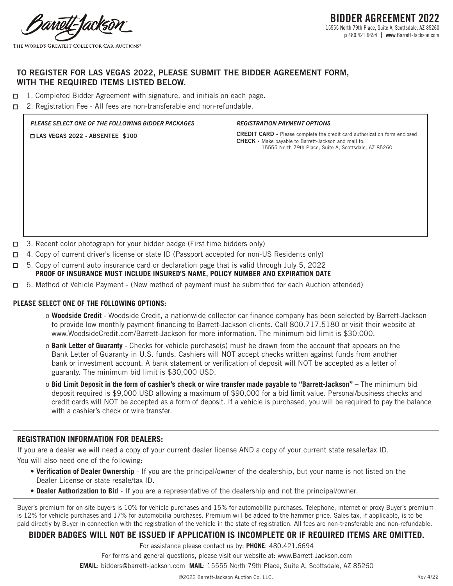angli-Tacksi

THE WORLD'S GREATEST COLLECTOR CAR AUCTIONS<sup>®</sup>

# **TO REGISTER FOR LAS VEGAS 2022, PLEASE SUBMIT THE BIDDER AGREEMENT FORM, WITH THE REQUIRED ITEMS LISTED BELOW.**

- $\Box$  1. Completed Bidder Agreement with signature, and initials on each page.
- $\Box$  2. Registration Fee All fees are non-transferable and non-refundable.

# *PLEASE SELECT ONE OF THE FOLLOWING BIDDER PACKAGES* n **LAS VEGAS 2022 - ABSENTEE \$100**

#### *REGISTRATION PAYMENT OPTIONS*

**CREDIT CARD -** Please complete the credit card authorization form enclosed **CHECK -** Make payable to Barrett-Jackson and mail to: 15555 North 79th Place, Suite A, Scottsdale, AZ 85260

- $\Box$  3. Recent color photograph for your bidder badge (First time bidders only)
- $\Box$  4. Copy of current driver's license or state ID (Passport accepted for non-US Residents only)
- $\Box$  5. Copy of current auto insurance card or declaration page that is valid through July 5, 2022 **PROOF OF INSURANCE MUST INCLUDE INSURED'S NAME, POLICY NUMBER AND EXPIRATION DATE**
- □ 6. Method of Vehicle Payment (New method of payment must be submitted for each Auction attended)

### **PLEASE SELECT ONE OF THE FOLLOWING OPTIONS:**

- o **Woodside Credit**  Woodside Credit, a nationwide collector car finance company has been selected by Barrett-Jackson to provide low monthly payment financing to Barrett-Jackson clients. Call 800.717.5180 or visit their website at www.WoodsideCredit.com/Barrett-Jackson for more information. The minimum bid limit is \$30,000.
- o **Bank Letter of Guaranty**  Checks for vehicle purchase(s) must be drawn from the account that appears on the Bank Letter of Guaranty in U.S. funds. Cashiers will NOT accept checks written against funds from another bank or investment account. A bank statement or verification of deposit will NOT be accepted as a letter of guaranty. The minimum bid limit is \$30,000 USD.
- o **Bid Limit Deposit in the form of cashier's check or wire transfer made payable to "Barrett-Jackson"** The minimum bid deposit required is \$9,000 USD allowing a maximum of \$90,000 for a bid limit value. Personal/business checks and credit cards will NOT be accepted as a form of deposit. If a vehicle is purchased, you will be required to pay the balance with a cashier's check or wire transfer.

# **REGISTRATION INFORMATION FOR DEALERS:**

If you are a dealer we will need a copy of your current dealer license AND a copy of your current state resale/tax ID. You will also need one of the following:

- **Verification of Dealer Ownership** If you are the principal/owner of the dealership, but your name is not listed on the Dealer License or state resale/tax ID.
- **Dealer Authorization to Bid** If you are a representative of the dealership and not the principal/owner.

Buyer's premium for on-site buyers is 10% for vehicle purchases and 15% for automobilia purchases. Telephone, internet or proxy Buyer's premium is 12% for vehicle purchases and 17% for automobilia purchases. Premium will be added to the hammer price. Sales tax, if applicable, is to be paid directly by Buyer in connection with the registration of the vehicle in the state of registration. All fees are non-transferable and non-refundable.

## **BIDDER BADGES WILL NOT BE ISSUED IF APPLICATION IS INCOMPLETE OR IF REQUIRED ITEMS ARE OMITTED.**

For assistance please contact us by: **PHONE**: 480.421.6694

For forms and general questions, please visit our website at: www.Barrett-Jackson.com

**EMAIL**: bidders@barrett-jackson.com **MAIL**: 15555 North 79th Place, Suite A, Scottsdale, AZ 85260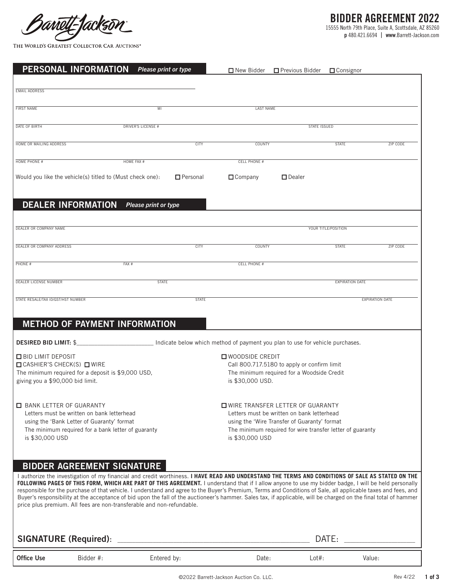Barrett-fackso

THE WORLD'S GREATEST COLLECTOR CAR AUCTIONS<sup>®</sup>

**p** 480.421.6694 | **www**.Barrett-Jackson.com

| PERSONAL INFORMATION                  | Please print or type                                                                                                                                                                                                                                                                                       |                 |                                                                                           | $\Box$ New Bidder $\Box$ Previous Bidder                                                   | $\Box$ Consignor       |                        |
|---------------------------------------|------------------------------------------------------------------------------------------------------------------------------------------------------------------------------------------------------------------------------------------------------------------------------------------------------------|-----------------|-------------------------------------------------------------------------------------------|--------------------------------------------------------------------------------------------|------------------------|------------------------|
| <b>EMAIL ADDRESS</b>                  |                                                                                                                                                                                                                                                                                                            |                 |                                                                                           |                                                                                            |                        |                        |
|                                       |                                                                                                                                                                                                                                                                                                            |                 |                                                                                           |                                                                                            |                        |                        |
| <b>FIRST NAME</b>                     | MI                                                                                                                                                                                                                                                                                                         |                 | <b>LAST NAME</b>                                                                          |                                                                                            |                        |                        |
| <b>DATE OF BIRTH</b>                  | <b>DRIVER'S LICENSE #</b>                                                                                                                                                                                                                                                                                  |                 |                                                                                           | <b>STATE ISSUED</b>                                                                        |                        |                        |
| HOME OR MAILING ADDRESS               |                                                                                                                                                                                                                                                                                                            | <b>CITY</b>     | COUNTY                                                                                    |                                                                                            | <b>STATE</b>           | <b>ZIP CODE</b>        |
|                                       |                                                                                                                                                                                                                                                                                                            |                 |                                                                                           |                                                                                            |                        |                        |
| HOME PHONE #                          | HOME FAX #                                                                                                                                                                                                                                                                                                 |                 | <b>CELL PHONE #</b>                                                                       |                                                                                            |                        |                        |
|                                       | Would you like the vehicle(s) titled to (Must check one):                                                                                                                                                                                                                                                  | $\Box$ Personal | $\Box$ Company                                                                            | $\square$ Dealer                                                                           |                        |                        |
| <b>DEALER INFORMATION</b>             | Please print or type                                                                                                                                                                                                                                                                                       |                 |                                                                                           |                                                                                            |                        |                        |
|                                       |                                                                                                                                                                                                                                                                                                            |                 |                                                                                           |                                                                                            |                        |                        |
| DEALER OR COMPANY NAME                |                                                                                                                                                                                                                                                                                                            |                 |                                                                                           |                                                                                            | YOUR TITLE/POSITION    |                        |
| DEALER OR COMPANY ADDRESS             |                                                                                                                                                                                                                                                                                                            | <b>CITY</b>     | COUNTY                                                                                    |                                                                                            | <b>STATE</b>           | ZIP CODE               |
| PHONE #                               | FAX #                                                                                                                                                                                                                                                                                                      |                 | <b>CELL PHONE #</b>                                                                       |                                                                                            |                        |                        |
| <b>DEALER LICENSE NUMBER</b>          | <b>STATE</b>                                                                                                                                                                                                                                                                                               |                 |                                                                                           |                                                                                            | <b>EXPIRATION DATE</b> |                        |
|                                       |                                                                                                                                                                                                                                                                                                            |                 |                                                                                           |                                                                                            |                        |                        |
| STATE RESALE/TAX ID/GST/HST NUMBER    |                                                                                                                                                                                                                                                                                                            | <b>STATE</b>    |                                                                                           |                                                                                            |                        | <b>EXPIRATION DATE</b> |
|                                       | METHOD OF PAYMENT INFORMATION                                                                                                                                                                                                                                                                              |                 |                                                                                           |                                                                                            |                        |                        |
| <b>DESIRED BID LIMIT: \$</b>          |                                                                                                                                                                                                                                                                                                            |                 | Indicate below which method of payment you plan to use for vehicle purchases.             |                                                                                            |                        |                        |
| <b>O BID LIMIT DEPOSIT</b>            |                                                                                                                                                                                                                                                                                                            |                 | <b>O</b> WOODSIDE CREDIT                                                                  |                                                                                            |                        |                        |
| $\Box$ CASHIER'S CHECK(S) $\Box$ WIRE | The minimum required for a deposit is \$9,000 USD,                                                                                                                                                                                                                                                         |                 | Call 800.717.5180 to apply or confirm limit<br>The minimum required for a Woodside Credit |                                                                                            |                        |                        |
| giving you a \$90,000 bid limit.      |                                                                                                                                                                                                                                                                                                            |                 | is \$30,000 USD.                                                                          |                                                                                            |                        |                        |
|                                       |                                                                                                                                                                                                                                                                                                            |                 |                                                                                           |                                                                                            |                        |                        |
| <b>E BANK LETTER OF GUARANTY</b>      |                                                                                                                                                                                                                                                                                                            |                 | <b>OWIRE TRANSFER LETTER OF GUARANTY</b>                                                  |                                                                                            |                        |                        |
|                                       | Letters must be written on bank letterhead<br>using the 'Bank Letter of Guaranty' format                                                                                                                                                                                                                   |                 |                                                                                           | Letters must be written on bank letterhead<br>using the 'Wire Transfer of Guaranty' format |                        |                        |
|                                       | The minimum required for a bank letter of guaranty                                                                                                                                                                                                                                                         |                 | The minimum required for wire transfer letter of guaranty                                 |                                                                                            |                        |                        |
| is \$30,000 USD                       |                                                                                                                                                                                                                                                                                                            |                 | is \$30,000 USD                                                                           |                                                                                            |                        |                        |
|                                       |                                                                                                                                                                                                                                                                                                            |                 |                                                                                           |                                                                                            |                        |                        |
|                                       | <b>BIDDER AGREEMENT SIGNATURE</b>                                                                                                                                                                                                                                                                          |                 |                                                                                           |                                                                                            |                        |                        |
|                                       | I authorize the investigation of my financial and credit worthiness. I HAVE READ AND UNDERSTAND THE TERMS AND CONDITIONS OF SALE AS STATED ON THE<br>FOLLOWING PAGES OF THIS FORM, WHICH ARE PART OF THIS AGREEMENT. I understand that if I allow anyone to use my bidder badge, I will be held personally |                 |                                                                                           |                                                                                            |                        |                        |
|                                       | responsible for the purchase of that vehicle. I understand and agree to the Buyer's Premium, Terms and Conditions of Sale, all applicable taxes and fees, and                                                                                                                                              |                 |                                                                                           |                                                                                            |                        |                        |
|                                       | Buyer's responsibility at the acceptance of bid upon the fall of the auctioneer's hammer. Sales tax, if applicable, will be charged on the final total of hammer<br>price plus premium. All fees are non-transferable and non-refundable.                                                                  |                 |                                                                                           |                                                                                            |                        |                        |
|                                       |                                                                                                                                                                                                                                                                                                            |                 |                                                                                           |                                                                                            |                        |                        |
| <b>SIGNATURE (Required):</b>          |                                                                                                                                                                                                                                                                                                            |                 |                                                                                           | DATE:                                                                                      |                        |                        |
|                                       |                                                                                                                                                                                                                                                                                                            |                 |                                                                                           |                                                                                            |                        |                        |
| <b>Office Use</b>                     | Bidder #:                                                                                                                                                                                                                                                                                                  | Entered by:     | Date:                                                                                     | $Lot#$ :                                                                                   |                        | Value:                 |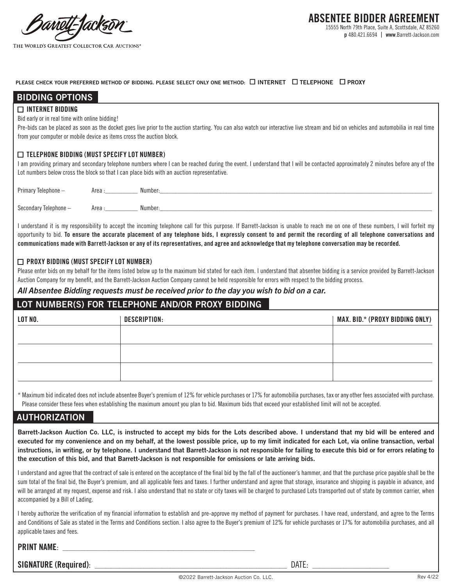Moll-Tacks

#### **PLEASE CHECK YOUR PREFERRED METHOD OF BIDDING. PLEASE SELECT ONLY ONE METHOD:**  $\Box$  **INTERNET**  $\Box$  **TELEPHONE**  $\Box$  **PROXY**

| <b>BIDDING OPTIONS</b>                                                |                                                                                                                                                                                                                                                                               |
|-----------------------------------------------------------------------|-------------------------------------------------------------------------------------------------------------------------------------------------------------------------------------------------------------------------------------------------------------------------------|
| $\Box$ INTERNET BIDDING                                               |                                                                                                                                                                                                                                                                               |
| Bid early or in real time with online bidding!                        |                                                                                                                                                                                                                                                                               |
|                                                                       | Pre-bids can be placed as soon as the docket goes live prior to the auction starting. You can also watch our interactive live stream and bid on vehicles and automobilia in real time                                                                                         |
| from your computer or mobile device as items cross the auction block. |                                                                                                                                                                                                                                                                               |
| $\Box$ TELEPHONE BIDDING (MUST SPECIFY LOT NUMBER)                    | I am providing primary and secondary telephone numbers where I can be reached during the event. I understand that I will be contacted approximately 2 minutes before any of the<br>Lot numbers below cross the block so that I can place bids with an auction representative. |
| Primary Telephone -                                                   |                                                                                                                                                                                                                                                                               |
| Secondary Telephone -                                                 | Area: Number:                                                                                                                                                                                                                                                                 |

I understand it is my responsibility to accept the incoming telephone call for this purpose. If Barrett-Jackson is unable to reach me on one of these numbers, I will forfeit my opportunity to bid. **To ensure the accurate placement of any telephone bids, I expressly consent to and permit the recording of all telephone conversations and communications made with Barrett-Jackson or any of its representatives, and agree and acknowledge that my telephone conversation may be recorded.**

#### n **PROXY BIDDING (MUST SPECIFY LOT NUMBER)**

Please enter bids on my behalf for the items listed below up to the maximum bid stated for each item. I understand that absentee bidding is a service provided by Barrett-Jackson Auction Company for my benefit, and the Barrett-Jackson Auction Company cannot be held responsible for errors with respect to the bidding process.

### *All Absentee Bidding requests must be received prior to the day you wish to bid on a car.*

### **LOT NUMBER(S) FOR TELEPHONE AND/OR PROXY BIDDING**

| LOT NO. | <b>DESCRIPTION:</b> | MAX. BID.* (PROXY BIDDING ONLY) |
|---------|---------------------|---------------------------------|
|         |                     |                                 |
|         |                     |                                 |
|         |                     |                                 |
|         |                     |                                 |

\* Maximum bid indicated does not include absentee Buyer's premium of 12% for vehicle purchases or 17% for automobilia purchases, tax or any other fees associated with purchase. Please consider these fees when establishing the maximum amount you plan to bid. Maximum bids that exceed your established limit will not be accepted.

# **AUTHORIZATION**

**Barrett-Jackson Auction Co. LLC, is instructed to accept my bids for the Lots described above. I understand that my bid will be entered and executed for my convenience and on my behalf, at the lowest possible price, up to my limit indicated for each Lot, via online transaction, verbal instructions, in writing, or by telephone. I understand that Barrett-Jackson is not responsible for failing to execute this bid or for errors relating to the execution of this bid, and that Barrett-Jackson is not responsible for omissions or late arriving bids.** 

I understand and agree that the contract of sale is entered on the acceptance of the final bid by the fall of the auctioneer's hammer, and that the purchase price payable shall be the sum total of the final bid, the Buyer's premium, and all applicable fees and taxes. I further understand and agree that storage, insurance and shipping is payable in advance, and will be arranged at my request, expense and risk. I also understand that no state or city taxes will be charged to purchased Lots transported out of state by common carrier, when accompanied by a Bill of Lading.

I hereby authorize the verification of my financial information to establish and pre-approve my method of payment for purchases. I have read, understand, and agree to the Terms and Conditions of Sale as stated in the Terms and Conditions section. I also agree to the Buyer's premium of 12% for vehicle purchases or 17% for automobilia purchases, and all applicable taxes and fees.

## **PRINT NAME:**

**SIGNATURE (Required)**: \_\_\_\_\_\_\_\_\_\_\_\_\_\_\_\_\_\_\_\_\_\_\_\_\_\_\_\_\_\_\_\_\_\_\_\_\_\_\_\_\_\_\_\_\_\_\_\_\_\_\_\_\_\_\_\_\_\_\_\_\_\_\_\_\_ DATE: \_\_\_\_\_\_\_\_\_\_\_\_\_\_\_\_\_\_\_\_\_\_\_\_\_\_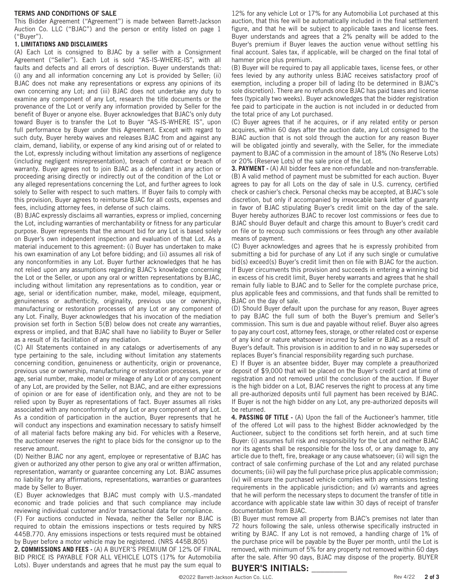#### **TERMS AND CONDITIONS OF SALE**

This Bidder Agreement ("Agreement") is made between Barrett-Jackson Auction Co. LLC ("BJAC") and the person or entity listed on page 1 ("Buyer").

#### **1. LIMITATIONS AND DISCLAIMERS**

(A) Each Lot is consigned to BJAC by a seller with a Consignment Agreement ("Seller"). Each Lot is sold "AS-IS-WHERE-IS", with all faults and defects and all errors of description. Buyer understands that: (i) any and all information concerning any Lot is provided by Seller; (ii) BJAC does not make any representations or express any opinions of its own concerning any Lot; and (iii) BJAC does not undertake any duty to examine any component of any Lot, research the title documents or the provenance of the Lot or verify any information provided by Seller for the benefit of Buyer or anyone else. Buyer acknowledges that BJAC's only duty toward Buyer is to transfer the Lot to Buyer "AS-IS-WHERE IS", upon full performance by Buyer under this Agreement. Except with regard to such duty, Buyer hereby waives and releases BJAC from and against any claim, demand, liability, or expense of any kind arising out of or related to the Lot, expressly including without limitation any assertions of negligence (including negligent misrepresentation), breach of contract or breach of warranty. Buyer agrees not to join BJAC as a defendant in any action or proceeding arising directly or indirectly out of the condition of the Lot or any alleged representations concerning the Lot, and further agrees to look solely to Seller with respect to such matters. If Buyer fails to comply with this provision, Buyer agrees to reimburse BJAC for all costs, expenses and fees, including attorney fees, in defense of such claims.

(B) BJAC expressly disclaims all warranties, express or implied, concerning the Lot, including warranties of merchantability or fitness for any particular purpose. Buyer represents that the amount bid for any Lot is based solely on Buyer's own independent inspection and evaluation of that Lot. As a material inducement to this agreement: (i) Buyer has undertaken to make his own examination of any Lot before bidding; and (ii) assumes all risk of any nonconformities in any Lot. Buyer further acknowledges that he has not relied upon any assumptions regarding BJAC's knowledge concerning the Lot or the Seller, or upon any oral or written representations by BJAC, including without limitation any representations as to condition, year or age, serial or identification number, make, model, mileage, equipment, genuineness or authenticity, originality, previous use or ownership, manufacturing or restoration processes of any Lot or any component of any Lot. Finally, Buyer acknowledges that his invocation of the mediation provision set forth in Section 5(B) below does not create any warranties, express or implied, and that BJAC shall have no liability to Buyer or Seller as a result of its facilitation of any mediation.

(C) All Statements contained in any catalogs or advertisements of any type pertaining to the sale, including without limitation any statements concerning condition, genuineness or authenticity, origin or provenance, previous use or ownership, manufacturing or restoration processes, year or age, serial number, make, model or mileage of any Lot or of any component of any Lot, are provided by the Seller, not BJAC, and are either expressions of opinion or are for ease of identification only, and they are not to be relied upon by Buyer as representations of fact. Buyer assumes all risks associated with any nonconformity of any Lot or any component of any Lot. As a condition of participation in the auction, Buyer represents that he will conduct any inspections and examination necessary to satisfy himself of all material facts before making any bid. For vehicles with a Reserve, the auctioneer reserves the right to place bids for the consignor up to the reserve amount.

(D) Neither BJAC nor any agent, employee or representative of BJAC has given or authorized any other person to give any oral or written affirmation, representation, warranty or guarantee concerning any Lot. BJAC assumes no liability for any affirmations, representations, warranties or guarantees made by Seller to Buyer.

(E) Buyer acknowledges that BJAC must comply with U.S.-mandated economic and trade policies and that such compliance may include reviewing individual customer and/or transactional data for compliance.

(F) For auctions conducted in Nevada, neither the Seller nor BJAC is required to obtain the emissions inspections or tests required by NRS 445B.770. Any emissions inspections or tests required must be obtained by Buyer before a motor vehicle may be registered. (NRS 445B.805)

**2. COMMISSIONS AND FEES -** (A) A BUYER'S PREMIUM OF 12% OF FINAL BID PRICE IS PAYABLE FOR ALL VEHICLE LOTS (17% for Automobilia Lots). Buyer understands and agrees that he must pay the sum equal to

12% for any vehicle Lot or 17% for any Automobilia Lot purchased at this auction, that this fee will be automatically included in the final settlement figure, and that he will be subject to applicable taxes and license fees. Buyer understands and agrees that a 2% penalty will be added to the Buyer's premium if Buyer leaves the auction venue without settling his final account. Sales tax, if applicable, will be charged on the final total of hammer price plus premium.

(B) Buyer will be required to pay all applicable taxes, license fees, or other fees levied by any authority unless BJAC receives satisfactory proof of exemption, including a proper bill of lading (to be determined in BJAC's sole discretion). There are no refunds once BJAC has paid taxes and license fees (typically two weeks). Buyer acknowledges that the bidder registration fee paid to participate in the auction is not included in or deducted from the total price of any Lot purchased.

(C) Buyer agrees that if he acquires, or if any related entity or person acquires, within 60 days after the auction date, any Lot consigned to the BJAC auction that is not sold through the auction for any reason Buyer will be obligated jointly and severally, with the Seller, for the immediate payment to BJAC of a commission in the amount of 18% (No Reserve Lots) or 20% (Reserve Lots) of the sale price of the Lot.

**3. PAYMENT -** (A) All bidder fees are non-refundable and non-transferrable. (B) A valid method of payment must be submitted for each auction. Buyer agrees to pay for all Lots on the day of sale in U.S. currency, certified check or cashier's check. Personal checks may be accepted, at BJAC's sole discretion, but only if accompanied by irrevocable bank letter of guaranty in favor of BJAC stipulating Buyer's credit limit on the day of the sale. Buyer hereby authorizes BJAC to recover lost commissions or fees due to BJAC should Buyer default and charge this amount to Buyer's credit card on file or to recoup such commissions or fees through any other available means of payment.

(C) Buyer acknowledges and agrees that he is expressly prohibited from submitting a bid for purchase of any Lot if any such single or cumulative bid(s) exceed(s) Buyer's credit limit then on file with BJAC for the auction. If Buyer circumvents this provision and succeeds in entering a winning bid in excess of his credit limit, Buyer hereby warrants and agrees that he shall remain fully liable to BJAC and to Seller for the complete purchase price, plus applicable fees and commissions, and that funds shall be remitted to BJAC on the day of sale.

(D) Should Buyer default upon the purchase for any reason, Buyer agrees to pay BJAC the full sum of both the Buyer's premium and Seller's commission. This sum is due and payable without relief. Buyer also agrees to pay any court cost, attorney fees, storage, or other related cost or expense of any kind or nature whatsoever incurred by Seller or BJAC as a result of Buyer's default. This provision is in addition to and in no way supersedes or replaces Buyer's financial responsibility regarding such purchase.

E) If Buyer is an absentee bidder, Buyer may complete a preauthorized deposit of \$9,000 that will be placed on the Buyer's credit card at time of registration and not removed until the conclusion of the auction. If Buyer is the high bidder on a Lot, BJAC reserves the right to process at any time all pre-authorized deposits until full payment has been received by BJAC. If Buyer is not the high bidder on any Lot, any pre-authorized deposits will be returned.

**4. PASSING OF TITLE -** (A) Upon the fall of the Auctioneer's hammer, title of the offered Lot will pass to the highest Bidder acknowledged by the Auctioneer, subject to the conditions set forth herein, and at such time Buyer: (i) assumes full risk and responsibility for the Lot and neither BJAC nor its agents shall be responsible for the loss of, or any damage to, any article due to theft, fire, breakage or any cause whatsoever; (ii) will sign the contract of sale confirming purchase of the Lot and any related purchase documents; (iii) will pay the full purchase price plus applicable commission; (iv) will ensure the purchased vehicle complies with any emissions testing requirements in the applicable jurisdiction; and (v) warrants and agrees that he will perform the necessary steps to document the transfer of title in accordance with applicable state law within 30 days of receipt of transfer documentation from BJAC.

(B) Buyer must remove all property from BJAC's premises not later than 72 hours following the sale, unless otherwise specifically instructed in writing by BJAC. If any Lot is not removed, a handling charge of 1% of the purchase price will be payable by the Buyer per month, until the Lot is removed, with minimum of 5% for any property not removed within 60 days after the sale. After 90 days, BJAC may dispose of the property. BUYER

# **BUYER'S INITIALS:** \_\_\_\_\_\_\_\_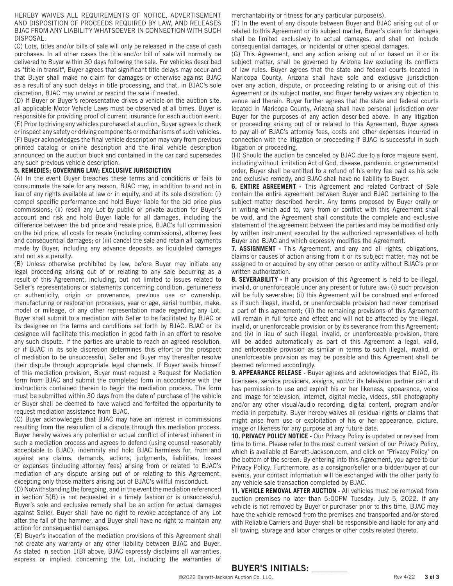#### HEREBY WAIVES ALL REQUIREMENTS OF NOTICE, ADVERTISEMENT AND DISPOSITION OF PROCEEDS REQUIRED BY LAW, AND RELEASES BJAC FROM ANY LIABILITY WHATSOEVER IN CONNECTION WITH SUCH DISPOSAL.

(C) Lots, titles and/or bills of sale will only be released in the case of cash purchases. In all other cases the title and/or bill of sale will normally be delivered to Buyer within 30 days following the sale. For vehicles described as "title in transit", Buyer agrees that significant title delays may occur and that Buyer shall make no claim for damages or otherwise against BJAC as a result of any such delays in title processing, and that, in BJAC's sole discretion, BJAC may unwind or rescind the sale if needed.

(D) If Buyer or Buyer's representative drives a vehicle on the auction site, all applicable Motor Vehicle Laws must be observed at all times. Buyer is responsible for providing proof of current insurance for each auction event. (E) Prior to driving any vehicles purchased at auction, Buyer agrees to check or inspect any safety or driving components or mechanisms of such vehicles. (F) Buyer acknowledges the final vehicle description may vary from previous printed catalog or online description and the final vehicle description announced on the auction block and contained in the car card supersedes any such previous vehicle description.

#### **5. REMEDIES; GOVERNING LAW; EXCLUSIVE JURISDICTION**

(A) In the event Buyer breaches these terms and conditions or fails to consummate the sale for any reason, BJAC may, in addition to and not in lieu of any rights available at law or in equity, and at its sole discretion: (i) compel specific performance and hold Buyer liable for the bid price plus commissions; (ii) resell any Lot by public or private auction for Buyer's account and risk and hold Buyer liable for all damages, including the difference between the bid price and resale price, BJAC's full commission on the bid price, all costs for resale (including commissions), attorney fees and consequential damages; or (iii) cancel the sale and retain all payments made by Buyer, including any advance deposits, as liquidated damages and not as a penalty.

(B) Unless otherwise prohibited by law, before Buyer may initiate any legal proceeding arising out of or relating to any sale occurring as a result of this Agreement, including, but not limited to issues related to Seller's representations or statements concerning condition, genuineness or authenticity, origin or provenance, previous use or ownership, manufacturing or restoration processes, year or age, serial number, make, model or mileage, or any other representation made regarding any Lot, Buyer shall submit to a mediation with Seller to be facilitated by BJAC or its designee on the terms and conditions set forth by BJAC. BJAC or its designee will facilitate this mediation in good faith in an effort to resolve any such dispute. If the parties are unable to reach an agreed resolution, or if BJAC in its sole discretion determines this effort or the prospect of mediation to be unsuccessful, Seller and Buyer may thereafter resolve their dispute through appropriate legal channels. If Buyer avails himself of this mediation provision, Buyer must request a Request for Mediation form from BJAC and submit the completed form in accordance with the instructions contained therein to begin the mediation process. The form must be submitted within 30 days from the date of purchase of the vehicle or Buyer shall be deemed to have waived and forfeited the opportunity to request mediation assistance from BJAC.

(C) Buyer acknowledges that BJAC may have an interest in commissions resulting from the resolution of a dispute through this mediation process. Buyer hereby waives any potential or actual conflict of interest inherent in such a mediation process and agrees to defend (using counsel reasonably acceptable to BJAC), indemnify and hold BJAC harmless for, from and against any claims, demands, actions, judgments, liabilities, losses or expenses (including attorney fees) arising from or related to BJAC's mediation of any dispute arising out of or relating to this Agreement, excepting only those matters arising out of BJAC's willful misconduct.

(D) Notwithstanding the foregoing, and in the event the mediation referenced in section 5(B) is not requested in a timely fashion or is unsuccessful, Buyer's sole and exclusive remedy shall be an action for actual damages against Seller. Buyer shall have no right to revoke acceptance of any Lot after the fall of the hammer, and Buyer shall have no right to maintain any action for consequential damages.

(E) Buyer's invocation of the mediation provisions of this Agreement shall not create any warranty or any other liability between BJAC and Buyer. As stated in section 1(B) above, BJAC expressly disclaims all warranties, express or implied, concerning the Lot, including the warranties of

merchantability or fitness for any particular purpose(s).

(F) In the event of any dispute between Buyer and BJAC arising out of or related to this Agreement or its subject matter, Buyer's claim for damages shall be limited exclusively to actual damages, and shall not include consequential damages, or incidental or other special damages.

(G) This Agreement, and any action arising out of or based on it or its subject matter, shall be governed by Arizona law excluding its conflicts of law rules. Buyer agrees that the state and federal courts located in Maricopa County, Arizona shall have sole and exclusive jurisdiction over any action, dispute, or proceeding relating to or arising out of this Agreement or its subject matter, and Buyer hereby waives any objection to venue laid therein. Buyer further agrees that the state and federal courts located in Maricopa County, Arizona shall have personal jurisdiction over Buyer for the purposes of any action described above. In any litigation or proceeding arising out of or related to this Agreement, Buyer agrees to pay all of BJAC's attorney fees, costs and other expenses incurred in connection with the litigation or proceeding if BJAC is successful in such litigation or proceeding.

(H) Should the auction be canceled by BJAC due to a force majeure event, including without limitation Act of God, disease, pandemic, or governmental order, Buyer shall be entitled to a refund of his entry fee paid as his sole and exclusive remedy, and BJAC shall have no liability to Buyer.

**6. ENTIRE AGREEMENT -** This Agreement and related Contract of Sale contain the entire agreement between Buyer and BJAC pertaining to the subject matter described herein. Any terms proposed by Buyer orally or in writing which add to, vary from or conflict with this Agreement shall be void, and the Agreement shall constitute the complete and exclusive statement of the agreement between the parties and may be modified only by written instrument executed by the authorized representatives of both Buyer and BJAC and which expressly modifies the Agreement.

**7. ASSIGNMENT -** This Agreement, and any and all rights, obligations, claims or causes of action arising from it or its subject matter, may not be assigned to or acquired by any other person or entity without BJAC's prior written authorization.

**8. SEVERABILITY -** If any provision of this Agreement is held to be illegal, invalid, or unenforceable under any present or future law: (i) such provision will be fully severable; (ii) this Agreement will be construed and enforced as if such illegal, invalid, or unenforceable provision had never comprised a part of this agreement; (iii) the remaining provisions of this Agreement will remain in full force and effect and will not be affected by the illegal, invalid, or unenforceable provision or by its severance from this Agreement; and (iv) in lieu of such illegal, invalid, or unenforceable provision, there will be added automatically as part of this Agreement a legal, valid, and enforceable provision as similar in terms to such illegal, invalid, or unenforceable provision as may be possible and this Agreement shall be deemed reformed accordingly.

**9. APPEARANCE RELEASE -** Buyer agrees and acknowledges that BJAC, its licensees, service providers, assigns, and/or its television partner can and has permission to use and exploit his or her likeness, appearance, voice and image for television, internet, digital media, videos, still photography and/or any other visual/audio recording, digital content, program and/or media in perpetuity. Buyer hereby waives all residual rights or claims that might arise from use or exploitation of his or her appearance, picture, image or likeness for any purpose at any future date.

**10. PRIVACY POLICY NOTICE -** Our Privacy Policy is updated or revised from time to time. Please refer to the most current version of our Privacy Policy, which is available at Barrett-Jackson.com, and click on "Privacy Policy" on the bottom of the screen. By entering into this Agreement, you agree to our Privacy Policy. Furthermore, as a consignor/seller or a bidder/buyer at our events, your contact information will be exchanged with the other party to any vehicle sale transaction completed by BJAC.

**11. VEHICLE REMOVAL AFTER AUCTION -** All vehicles must be removed from auction premises no later than 5:00PM Tuesday, July 5, 2022. If any vehicle is not removed by Buyer or purchaser prior to this time, BJAC may have the vehicle removed from the premises and transported and/or stored with Reliable Carriers and Buyer shall be responsible and liable for any and all towing, storage and labor charges or other costs related thereto.